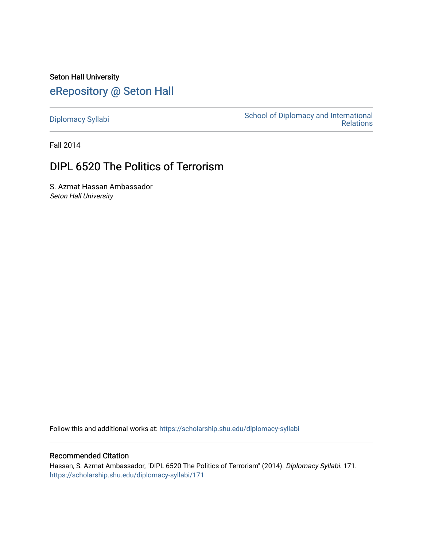Seton Hall University [eRepository @ Seton Hall](https://scholarship.shu.edu/)

[Diplomacy Syllabi](https://scholarship.shu.edu/diplomacy-syllabi) [School of Diplomacy and International](https://scholarship.shu.edu/diplomacy)  [Relations](https://scholarship.shu.edu/diplomacy) 

Fall 2014

# DIPL 6520 The Politics of Terrorism

S. Azmat Hassan Ambassador Seton Hall University

Follow this and additional works at: [https://scholarship.shu.edu/diplomacy-syllabi](https://scholarship.shu.edu/diplomacy-syllabi?utm_source=scholarship.shu.edu%2Fdiplomacy-syllabi%2F171&utm_medium=PDF&utm_campaign=PDFCoverPages) 

# Recommended Citation

Hassan, S. Azmat Ambassador, "DIPL 6520 The Politics of Terrorism" (2014). Diplomacy Syllabi. 171. [https://scholarship.shu.edu/diplomacy-syllabi/171](https://scholarship.shu.edu/diplomacy-syllabi/171?utm_source=scholarship.shu.edu%2Fdiplomacy-syllabi%2F171&utm_medium=PDF&utm_campaign=PDFCoverPages)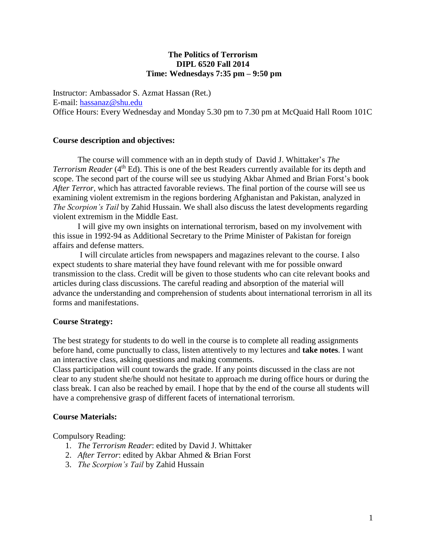# **The Politics of Terrorism DIPL 6520 Fall 2014 Time: Wednesdays 7:35 pm – 9:50 pm**

Instructor: Ambassador S. Azmat Hassan (Ret.) E-mail: [hassanaz@shu.edu](mailto:hassanaz@shu.edu) Office Hours: Every Wednesday and Monday 5.30 pm to 7.30 pm at McQuaid Hall Room 101C

## **Course description and objectives:**

The course will commence with an in depth study of David J. Whittaker's *The Terrorism Reader* (4<sup>th</sup> Ed). This is one of the best Readers currently available for its depth and scope. The second part of the course will see us studying Akbar Ahmed and Brian Forst's book *After Terror*, which has attracted favorable reviews. The final portion of the course will see us examining violent extremism in the regions bordering Afghanistan and Pakistan, analyzed in *The Scorpion's Tail* by Zahid Hussain. We shall also discuss the latest developments regarding violent extremism in the Middle East.

I will give my own insights on international terrorism, based on my involvement with this issue in 1992-94 as Additional Secretary to the Prime Minister of Pakistan for foreign affairs and defense matters.

I will circulate articles from newspapers and magazines relevant to the course. I also expect students to share material they have found relevant with me for possible onward transmission to the class. Credit will be given to those students who can cite relevant books and articles during class discussions. The careful reading and absorption of the material will advance the understanding and comprehension of students about international terrorism in all its forms and manifestations.

# **Course Strategy:**

The best strategy for students to do well in the course is to complete all reading assignments before hand, come punctually to class, listen attentively to my lectures and **take notes**. I want an interactive class, asking questions and making comments.

Class participation will count towards the grade. If any points discussed in the class are not clear to any student she/he should not hesitate to approach me during office hours or during the class break. I can also be reached by email. I hope that by the end of the course all students will have a comprehensive grasp of different facets of international terrorism.

## **Course Materials:**

Compulsory Reading:

- 1. *The Terrorism Reader*: edited by David J. Whittaker
- 2. *After Terror*: edited by Akbar Ahmed & Brian Forst
- 3. *The Scorpion's Tail* by Zahid Hussain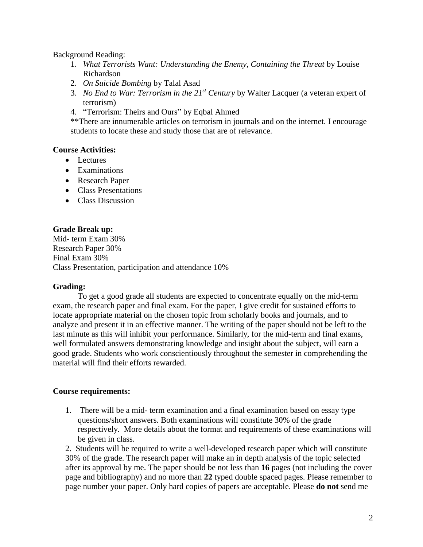Background Reading:

- 1. *What Terrorists Want: Understanding the Enemy, Containing the Threat* by Louise Richardson
- 2. *On Suicide Bombing* by Talal Asad
- 3. *No End to War: Terrorism in the 21st Century* by Walter Lacquer (a veteran expert of terrorism)
- 4. "Terrorism: Theirs and Ours" by Eqbal Ahmed

\*\*There are innumerable articles on terrorism in journals and on the internet. I encourage students to locate these and study those that are of relevance.

# **Course Activities:**

- Lectures
- Examinations
- Research Paper
- Class Presentations
- Class Discussion

# **Grade Break up:**

Mid- term Exam 30% Research Paper 30% Final Exam 30% Class Presentation, participation and attendance 10%

# **Grading:**

To get a good grade all students are expected to concentrate equally on the mid-term exam, the research paper and final exam. For the paper, I give credit for sustained efforts to locate appropriate material on the chosen topic from scholarly books and journals, and to analyze and present it in an effective manner. The writing of the paper should not be left to the last minute as this will inhibit your performance. Similarly, for the mid-term and final exams, well formulated answers demonstrating knowledge and insight about the subject, will earn a good grade. Students who work conscientiously throughout the semester in comprehending the material will find their efforts rewarded.

# **Course requirements:**

1. There will be a mid- term examination and a final examination based on essay type questions/short answers. Both examinations will constitute 30% of the grade respectively. More details about the format and requirements of these examinations will be given in class.

2. Students will be required to write a well-developed research paper which will constitute 30% of the grade. The research paper will make an in depth analysis of the topic selected after its approval by me. The paper should be not less than **16** pages (not including the cover page and bibliography) and no more than **22** typed double spaced pages. Please remember to page number your paper. Only hard copies of papers are acceptable. Please **do not** send me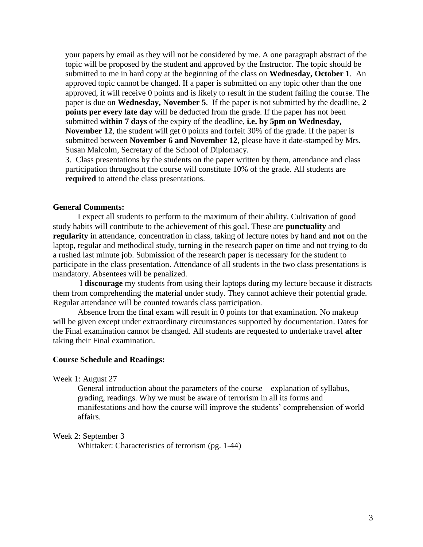your papers by email as they will not be considered by me. A one paragraph abstract of the topic will be proposed by the student and approved by the Instructor. The topic should be submitted to me in hard copy at the beginning of the class on **Wednesday, October 1**. An approved topic cannot be changed. If a paper is submitted on any topic other than the one approved, it will receive 0 points and is likely to result in the student failing the course. The paper is due on **Wednesday, November 5**. If the paper is not submitted by the deadline, **2 points per every late day** will be deducted from the grade. If the paper has not been submitted **within 7 days** of the expiry of the deadline, **i.e. by 5pm on Wednesday, November 12**, the student will get 0 points and forfeit 30% of the grade. If the paper is submitted between **November 6 and November 12**, please have it date-stamped by Mrs. Susan Malcolm, Secretary of the School of Diplomacy.

3. Class presentations by the students on the paper written by them, attendance and class participation throughout the course will constitute 10% of the grade. All students are **required** to attend the class presentations.

## **General Comments:**

I expect all students to perform to the maximum of their ability. Cultivation of good study habits will contribute to the achievement of this goal. These are **punctuality** and **regularity** in attendance, concentration in class, taking of lecture notes by hand and **not** on the laptop, regular and methodical study, turning in the research paper on time and not trying to do a rushed last minute job. Submission of the research paper is necessary for the student to participate in the class presentation. Attendance of all students in the two class presentations is mandatory. Absentees will be penalized.

I **discourage** my students from using their laptops during my lecture because it distracts them from comprehending the material under study. They cannot achieve their potential grade. Regular attendance will be counted towards class participation.

Absence from the final exam will result in 0 points for that examination. No makeup will be given except under extraordinary circumstances supported by documentation. Dates for the Final examination cannot be changed. All students are requested to undertake travel **after** taking their Final examination.

#### **Course Schedule and Readings:**

Week 1: August 27

General introduction about the parameters of the course – explanation of syllabus, grading, readings. Why we must be aware of terrorism in all its forms and manifestations and how the course will improve the students' comprehension of world affairs.

Week 2: September 3

Whittaker: Characteristics of terrorism (pg. 1-44)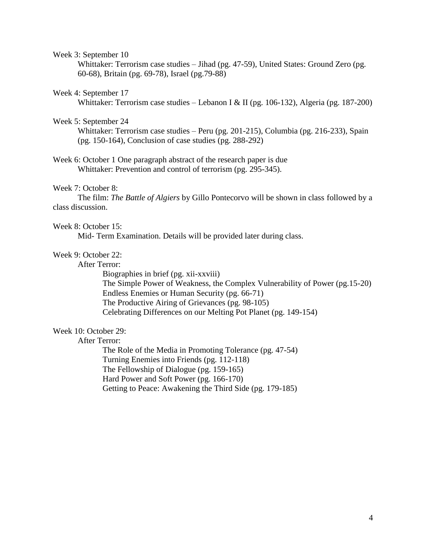### Week 3: September 10

Whittaker: Terrorism case studies – Jihad (pg. 47-59), United States: Ground Zero (pg. 60-68), Britain (pg. 69-78), Israel (pg.79-88)

#### Week 4: September 17

Whittaker: Terrorism case studies – Lebanon I & II (pg. 106-132), Algeria (pg. 187-200)

## Week 5: September 24

Whittaker: Terrorism case studies – Peru (pg. 201-215), Columbia (pg. 216-233), Spain (pg. 150-164), Conclusion of case studies (pg. 288-292)

Week 6: October 1 One paragraph abstract of the research paper is due Whittaker: Prevention and control of terrorism (pg. 295-345).

#### Week 7: October 8:

The film: *The Battle of Algiers* by Gillo Pontecorvo will be shown in class followed by a class discussion.

#### Week 8: October 15:

Mid- Term Examination. Details will be provided later during class.

# Week 9: October 22:

After Terror:

Biographies in brief (pg. xii-xxviii) The Simple Power of Weakness, the Complex Vulnerability of Power (pg.15-20) Endless Enemies or Human Security (pg. 66-71) The Productive Airing of Grievances (pg. 98-105) Celebrating Differences on our Melting Pot Planet (pg. 149-154)

# Week 10: October 29:

After Terror:

The Role of the Media in Promoting Tolerance (pg. 47-54) Turning Enemies into Friends (pg. 112-118) The Fellowship of Dialogue (pg. 159-165) Hard Power and Soft Power (pg. 166-170) Getting to Peace: Awakening the Third Side (pg. 179-185)